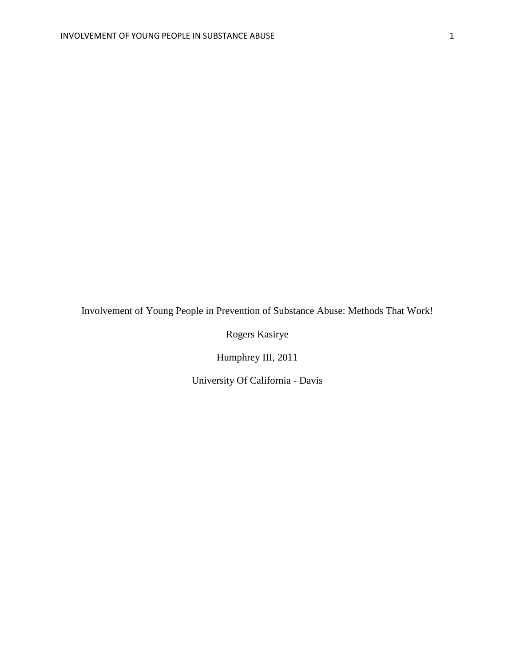Involvement of Young People in Prevention of Substance Abuse: Methods That Work!

Rogers Kasirye

Humphrey III, 2011

University Of California - Davis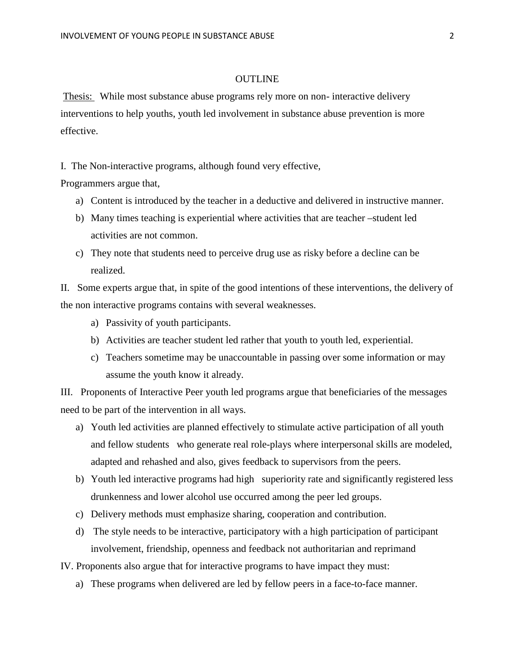## **OUTLINE**

Thesis: While most substance abuse programs rely more on non- interactive delivery interventions to help youths, youth led involvement in substance abuse prevention is more effective.

I. The Non-interactive programs, although found very effective,

Programmers argue that,

- a) Content is introduced by the teacher in a deductive and delivered in instructive manner.
- b) Many times teaching is experiential where activities that are teacher –student led activities are not common.
- c) They note that students need to perceive drug use as risky before a decline can be realized.

II. Some experts argue that, in spite of the good intentions of these interventions, the delivery of the non interactive programs contains with several weaknesses.

- a) Passivity of youth participants.
- b) Activities are teacher student led rather that youth to youth led, experiential.
- c) Teachers sometime may be unaccountable in passing over some information or may assume the youth know it already.

III.Proponents of Interactive Peer youth led programs argue that beneficiaries of the messages need to be part of the intervention in all ways.

- a) Youth led activities are planned effectively to stimulate active participation of all youth and fellow students who generate real role-plays where interpersonal skills are modeled, adapted and rehashed and also, gives feedback to supervisors from the peers.
- b) Youth led interactive programs had high superiority rate and significantly registered less drunkenness and lower alcohol use occurred among the peer led groups.
- c) Delivery methods must emphasize sharing, cooperation and contribution.
- d) The style needs to be interactive, participatory with a high participation of participant involvement, friendship, openness and feedback not authoritarian and reprimand

IV. Proponents also argue that for interactive programs to have impact they must:

a) These programs when delivered are led by fellow peers in a face-to-face manner.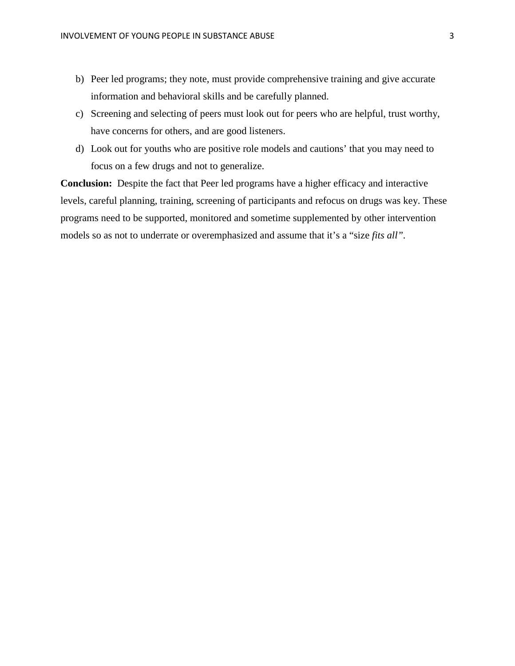- b) Peer led programs; they note, must provide comprehensive training and give accurate information and behavioral skills and be carefully planned.
- c) Screening and selecting of peers must look out for peers who are helpful, trust worthy, have concerns for others, and are good listeners.
- d) Look out for youths who are positive role models and cautions' that you may need to focus on a few drugs and not to generalize.

**Conclusion:** Despite the fact that Peer led programs have a higher efficacy and interactive levels, careful planning, training, screening of participants and refocus on drugs was key. These programs need to be supported, monitored and sometime supplemented by other intervention models so as not to underrate or overemphasized and assume that it's a "size *fits all".*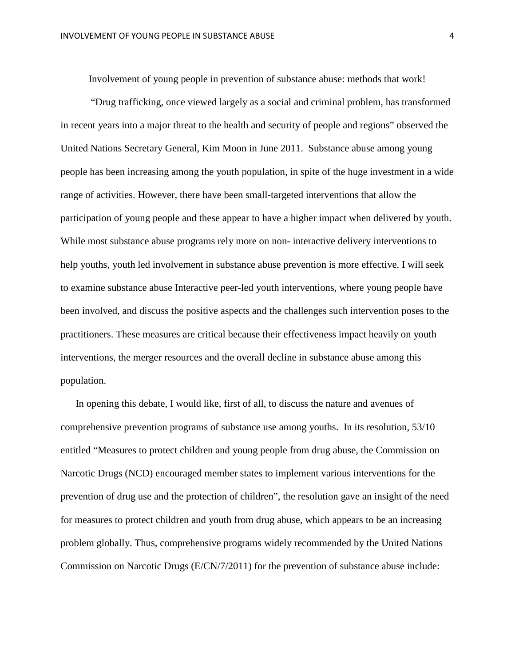Involvement of young people in prevention of substance abuse: methods that work!

"Drug trafficking, once viewed largely as a social and criminal problem, has transformed in recent years into a major threat to the health and security of people and regions" observed the United Nations Secretary General, Kim Moon in June 2011. Substance abuse among young people has been increasing among the youth population, in spite of the huge investment in a wide range of activities. However, there have been small-targeted interventions that allow the participation of young people and these appear to have a higher impact when delivered by youth. While most substance abuse programs rely more on non- interactive delivery interventions to help youths, youth led involvement in substance abuse prevention is more effective. I will seek to examine substance abuse Interactive peer-led youth interventions, where young people have been involved, and discuss the positive aspects and the challenges such intervention poses to the practitioners. These measures are critical because their effectiveness impact heavily on youth interventions, the merger resources and the overall decline in substance abuse among this population.

In opening this debate, I would like, first of all, to discuss the nature and avenues of comprehensive prevention programs of substance use among youths.In its resolution, 53/10 entitled "Measures to protect children and young people from drug abuse, the Commission on Narcotic Drugs (NCD) encouraged member states to implement various interventions for the prevention of drug use and the protection of children", the resolution gave an insight of the need for measures to protect children and youth from drug abuse, which appears to be an increasing problem globally. Thus, comprehensive programs widely recommended by the United Nations Commission on Narcotic Drugs (E/CN/7/2011) for the prevention of substance abuse include: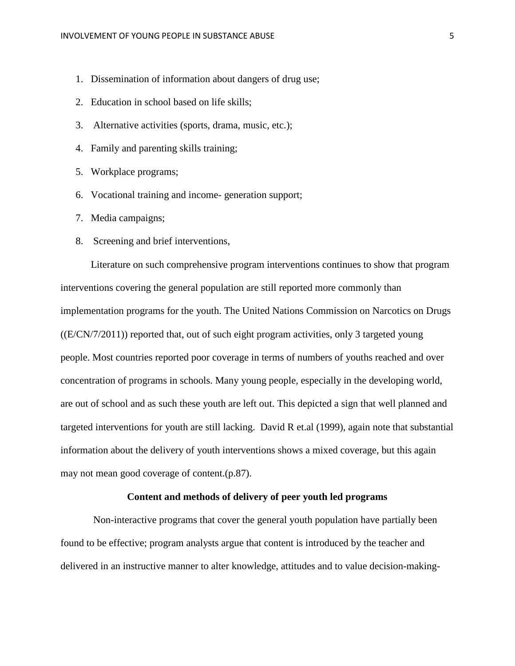- 1. Dissemination of information about dangers of drug use;
- 2. Education in school based on life skills;
- 3. Alternative activities (sports, drama, music, etc.);
- 4. Family and parenting skills training;
- 5. Workplace programs;
- 6. Vocational training and income- generation support;
- 7. Media campaigns;
- 8. Screening and brief interventions,

Literature on such comprehensive program interventions continues to show that program interventions covering the general population are still reported more commonly than implementation programs for the youth. The United Nations Commission on Narcotics on Drugs  $((E/CN/7/2011))$  reported that, out of such eight program activities, only 3 targeted young people. Most countries reported poor coverage in terms of numbers of youths reached and over concentration of programs in schools. Many young people, especially in the developing world, are out of school and as such these youth are left out. This depicted a sign that well planned and targeted interventions for youth are still lacking. David R et.al (1999), again note that substantial information about the delivery of youth interventions shows a mixed coverage, but this again may not mean good coverage of content.(p.87).

## **Content and methods of delivery of peer youth led programs**

Non-interactive programs that cover the general youth population have partially been found to be effective; program analysts argue that content is introduced by the teacher and delivered in an instructive manner to alter knowledge, attitudes and to value decision-making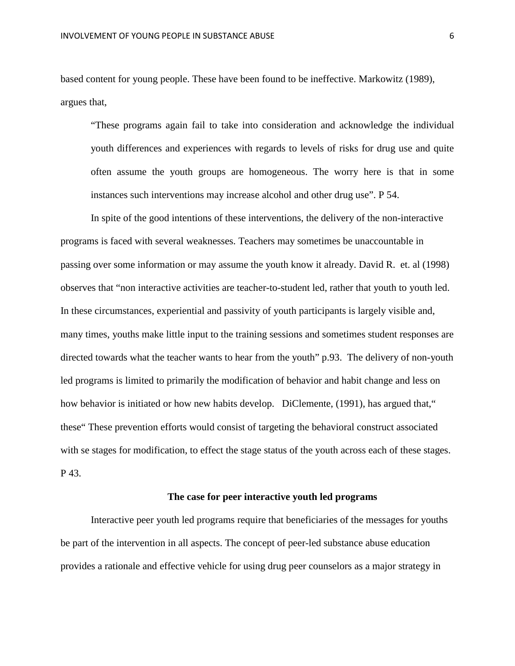based content for young people. These have been found to be ineffective. Markowitz (1989), argues that,

"These programs again fail to take into consideration and acknowledge the individual youth differences and experiences with regards to levels of risks for drug use and quite often assume the youth groups are homogeneous. The worry here is that in some instances such interventions may increase alcohol and other drug use". P 54.

In spite of the good intentions of these interventions, the delivery of the non-interactive programs is faced with several weaknesses. Teachers may sometimes be unaccountable in passing over some information or may assume the youth know it already. David R. et. al (1998) observes that "non interactive activities are teacher-to-student led, rather that youth to youth led. In these circumstances, experiential and passivity of youth participants is largely visible and, many times, youths make little input to the training sessions and sometimes student responses are directed towards what the teacher wants to hear from the youth" p.93. The delivery of non-youth led programs is limited to primarily the modification of behavior and habit change and less on how behavior is initiated or how new habits develop. DiClemente, (1991), has argued that, " these" These prevention efforts would consist of targeting the behavioral construct associated with se stages for modification, to effect the stage status of the youth across each of these stages. P 43.

## **The case for peer interactive youth led programs**

Interactive peer youth led programs require that beneficiaries of the messages for youths be part of the intervention in all aspects. The concept of peer-led substance abuse education provides a rationale and effective vehicle for using drug peer counselors as a major strategy in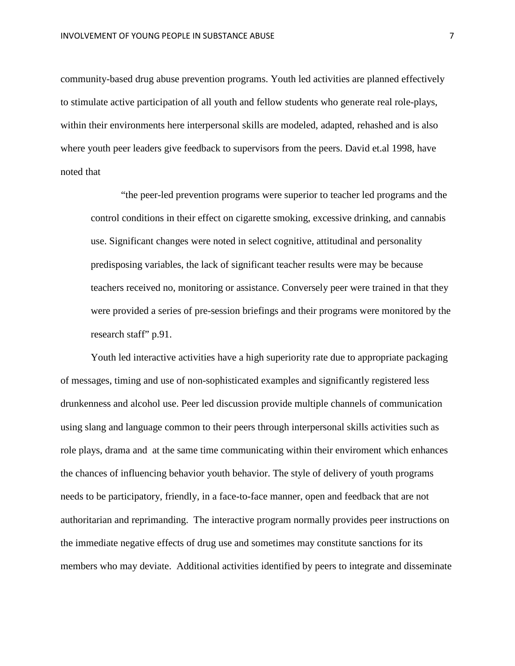community-based drug abuse prevention programs. Youth led activities are planned effectively to stimulate active participation of all youth and fellow students who generate real role-plays, within their environments here interpersonal skills are modeled, adapted, rehashed and is also where youth peer leaders give feedback to supervisors from the peers. David et.al 1998, have noted that

"the peer-led prevention programs were superior to teacher led programs and the control conditions in their effect on cigarette smoking, excessive drinking, and cannabis use. Significant changes were noted in select cognitive, attitudinal and personality predisposing variables, the lack of significant teacher results were may be because teachers received no, monitoring or assistance. Conversely peer were trained in that they were provided a series of pre-session briefings and their programs were monitored by the research staff" p.91.

Youth led interactive activities have a high superiority rate due to appropriate packaging of messages, timing and use of non-sophisticated examples and significantly registered less drunkenness and alcohol use. Peer led discussion provide multiple channels of communication using slang and language common to their peers through interpersonal skills activities such as role plays, drama and at the same time communicating within their enviroment which enhances the chances of influencing behavior youth behavior. The style of delivery of youth programs needs to be participatory, friendly, in a face-to-face manner, open and feedback that are not authoritarian and reprimanding. The interactive program normally provides peer instructions on the immediate negative effects of drug use and sometimes may constitute sanctions for its members who may deviate. Additional activities identified by peers to integrate and disseminate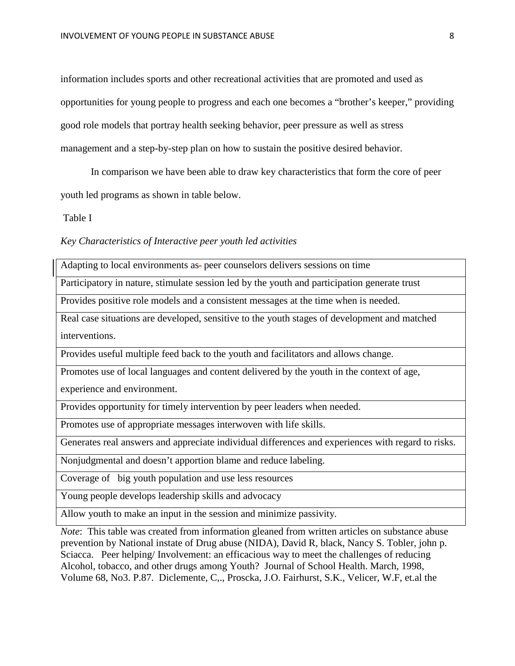information includes sports and other recreational activities that are promoted and used as opportunities for young people to progress and each one becomes a "brother's keeper," providing good role models that portray health seeking behavior, peer pressure as well as stress management and a step-by-step plan on how to sustain the positive desired behavior.

In comparison we have been able to draw key characteristics that form the core of peer youth led programs as shown in table below.

Table I

*Key Characteristics of Interactive peer youth led activities*

Adapting to local environments as-peer counselors delivers sessions on time

Participatory in nature, stimulate session led by the youth and participation generate trust

Provides positive role models and a consistent messages at the time when is needed.

Real case situations are developed, sensitive to the youth stages of development and matched interventions.

Provides useful multiple feed back to the youth and facilitators and allows change.

Promotes use of local languages and content delivered by the youth in the context of age,

experience and environment.

Provides opportunity for timely intervention by peer leaders when needed.

Promotes use of appropriate messages interwoven with life skills.

Generates real answers and appreciate individual differences and experiences with regard to risks.

Nonjudgmental and doesn't apportion blame and reduce labeling.

Coverage of big youth population and use less resources

Young people develops leadership skills and advocacy

Allow youth to make an input in the session and minimize passivity.

*Note*: This table was created from information gleaned from written articles on substance abuse prevention by National instate of Drug abuse (NIDA), David R, black, Nancy S. Tobler, john p. Sciacca. Peer helping/ Involvement: an efficacious way to meet the challenges of reducing Alcohol, tobacco, and other drugs among Youth? Journal of School Health. March, 1998, Volume 68, No3. P.87. Diclemente, C,., Proscka, J.O. Fairhurst, S.K., Velicer, W.F, et.al the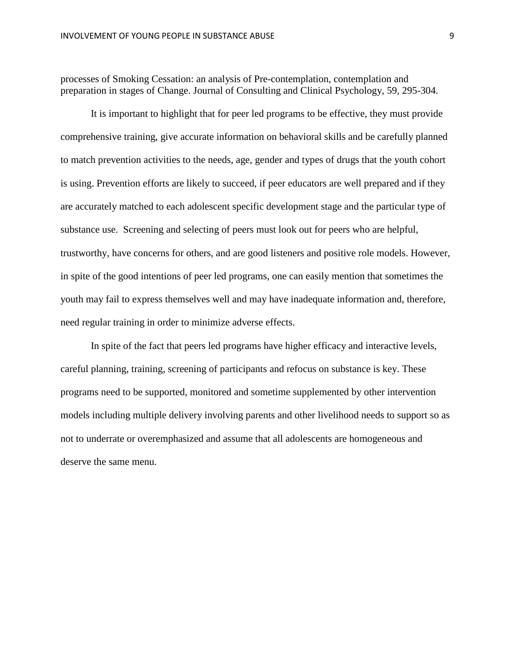processes of Smoking Cessation: an analysis of Pre-contemplation, contemplation and preparation in stages of Change. Journal of Consulting and Clinical Psychology, 59, 295-304.

It is important to highlight that for peer led programs to be effective, they must provide comprehensive training, give accurate information on behavioral skills and be carefully planned to match prevention activities to the needs, age, gender and types of drugs that the youth cohort is using. Prevention efforts are likely to succeed, if peer educators are well prepared and if they are accurately matched to each adolescent specific development stage and the particular type of substance use. Screening and selecting of peers must look out for peers who are helpful, trustworthy, have concerns for others, and are good listeners and positive role models. However, in spite of the good intentions of peer led programs, one can easily mention that sometimes the youth may fail to express themselves well and may have inadequate information and, therefore, need regular training in order to minimize adverse effects.

In spite of the fact that peers led programs have higher efficacy and interactive levels, careful planning, training, screening of participants and refocus on substance is key. These programs need to be supported, monitored and sometime supplemented by other intervention models including multiple delivery involving parents and other livelihood needs to support so as not to underrate or overemphasized and assume that all adolescents are homogeneous and deserve the same menu.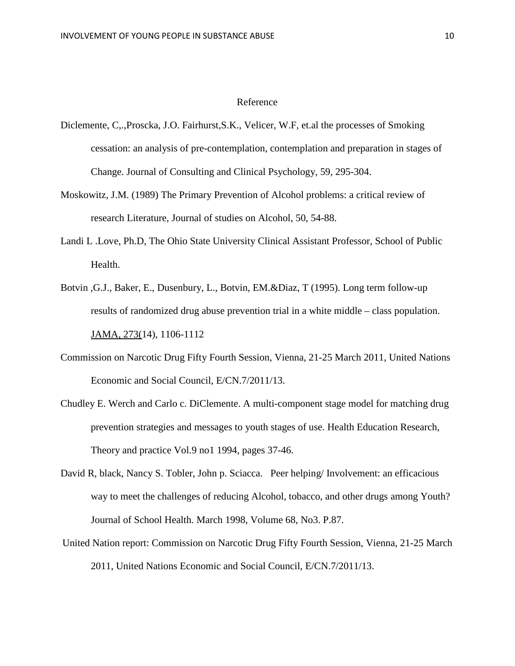## Reference

- Diclemente, C,.,Proscka, J.O. Fairhurst,S.K., Velicer, W.F, et.al the processes of Smoking cessation: an analysis of pre-contemplation, contemplation and preparation in stages of Change. Journal of Consulting and Clinical Psychology, 59, 295-304.
- Moskowitz, J.M. (1989) The Primary Prevention of Alcohol problems: a critical review of research Literature, Journal of studies on Alcohol, 50, 54-88.
- Landi L .Love, Ph.D, The Ohio State University Clinical Assistant Professor, School of Public Health.
- Botvin ,G.J., Baker, E., Dusenbury, L., Botvin, EM.&Diaz, T (1995). Long term follow-up results of randomized drug abuse prevention trial in a white middle – class population. JAMA, 273(14), 1106-1112
- Commission on Narcotic Drug Fifty Fourth Session, Vienna, 21-25 March 2011, United Nations Economic and Social Council, E/CN.7/2011/13.
- Chudley E. Werch and Carlo c. DiClemente. A multi-component stage model for matching drug prevention strategies and messages to youth stages of use. Health Education Research, Theory and practice Vol.9 no1 1994, pages 37-46.
- David R, black, Nancy S. Tobler, John p. Sciacca. Peer helping/ Involvement: an efficacious way to meet the challenges of reducing Alcohol, tobacco, and other drugs among Youth? Journal of School Health. March 1998, Volume 68, No3. P.87.
- United Nation report: Commission on Narcotic Drug Fifty Fourth Session, Vienna, 21-25 March 2011, United Nations Economic and Social Council, E/CN.7/2011/13.